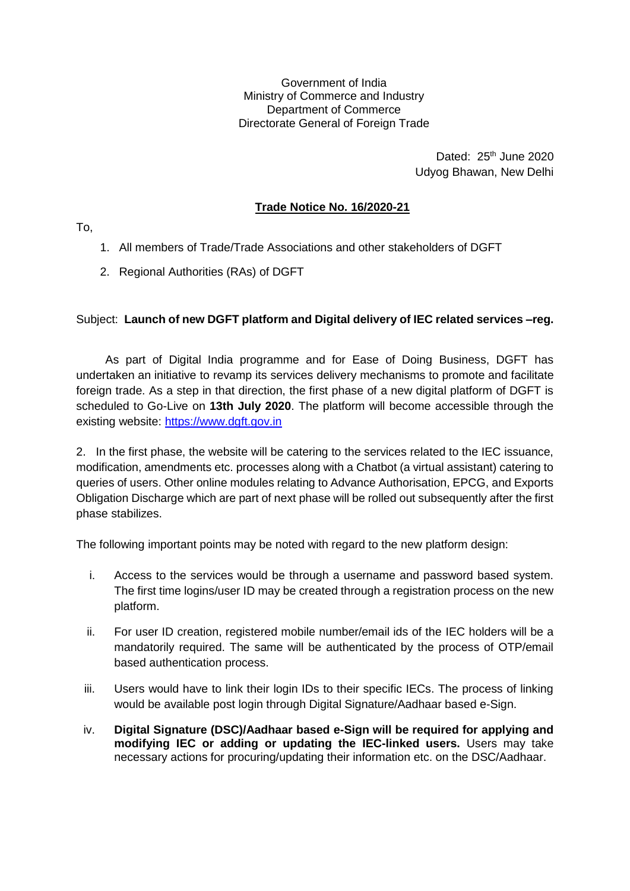Government of India Ministry of Commerce and Industry Department of Commerce Directorate General of Foreign Trade

> Dated: 25<sup>th</sup> June 2020 Udyog Bhawan, New Delhi

## **Trade Notice No. 16/2020-21**

To,

- 1. All members of Trade/Trade Associations and other stakeholders of DGFT
- 2. Regional Authorities (RAs) of DGFT

## Subject: **Launch of new DGFT platform and Digital delivery of IEC related services –reg.**

As part of Digital India programme and for Ease of Doing Business, DGFT has undertaken an initiative to revamp its services delivery mechanisms to promote and facilitate foreign trade. As a step in that direction, the first phase of a new digital platform of DGFT is scheduled to Go-Live on **13th July 2020**. The platform will become accessible through the existing website: [https://www.dgft.gov.in](https://www.dgft.gov.in/)

2. In the first phase, the website will be catering to the services related to the IEC issuance, modification, amendments etc. processes along with a Chatbot (a virtual assistant) catering to queries of users. Other online modules relating to Advance Authorisation, EPCG, and Exports Obligation Discharge which are part of next phase will be rolled out subsequently after the first phase stabilizes.

The following important points may be noted with regard to the new platform design:

- i. Access to the services would be through a username and password based system. The first time logins/user ID may be created through a registration process on the new platform.
- ii. For user ID creation, registered mobile number/email ids of the IEC holders will be a mandatorily required. The same will be authenticated by the process of OTP/email based authentication process.
- iii. Users would have to link their login IDs to their specific IECs. The process of linking would be available post login through Digital Signature/Aadhaar based e-Sign.
- iv. **Digital Signature (DSC)/Aadhaar based e-Sign will be required for applying and modifying IEC or adding or updating the IEC-linked users.** Users may take necessary actions for procuring/updating their information etc. on the DSC/Aadhaar.